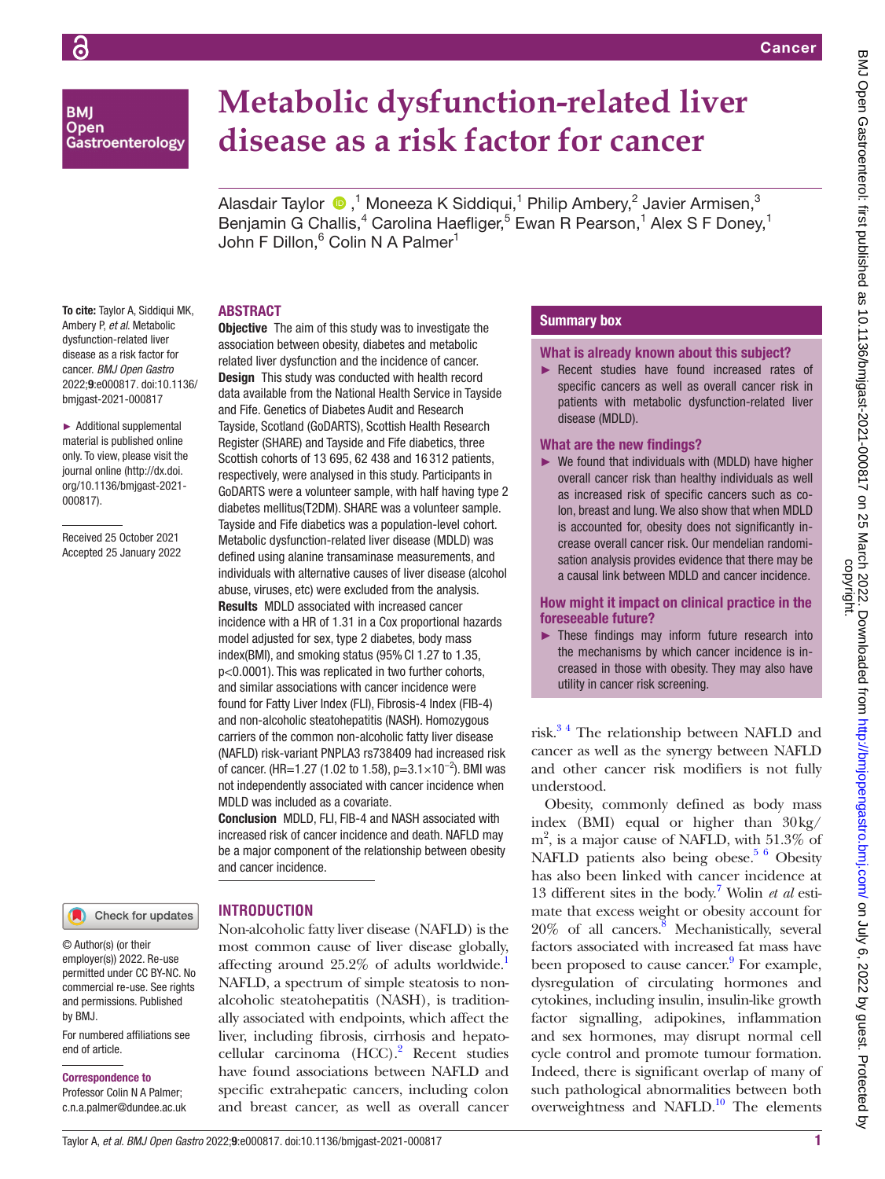## **BMI Open** Gastroenterology

# **Metabolic dysfunction-related liver disease as a risk factor for cancer**

AlasdairTaylor  $\bigcirc$  ,<sup>1</sup> Moneeza K Siddiqui,<sup>1</sup> Philip Ambery,<sup>2</sup> Javier Armisen,<sup>3</sup> Benjamin G Challis,<sup>4</sup> Carolina Haefliger,<sup>5</sup> Ewan R Pearson,<sup>1</sup> Alex S F Doney,<sup>1</sup> John F Dillon,<sup>6</sup> Colin N A Palmer<sup>1</sup>

## ABSTRACT

To cite: Taylor A, Siddiqui MK, Ambery P, *et al*. Metabolic dysfunction-related liver disease as a risk factor for cancer. *BMJ Open Gastro* 2022;9:e000817. doi:10.1136/ bmjgast-2021-000817

► Additional supplemental material is published online only. To view, please visit the journal online ([http://dx.doi.](http://dx.doi.org/10.1136/bmjgast-2021-000817) [org/10.1136/bmjgast-2021-](http://dx.doi.org/10.1136/bmjgast-2021-000817) [000817](http://dx.doi.org/10.1136/bmjgast-2021-000817)).

Received 25 October 2021 Accepted 25 January 2022

#### Check for updates

© Author(s) (or their employer(s)) 2022. Re-use permitted under CC BY-NC. No commercial re-use. See rights and permissions. Published by BMJ.

For numbered affiliations see end of article.

#### Correspondence to

Professor Colin N A Palmer; c.n.a.palmer@dundee.ac.uk **Objective** The aim of this study was to investigate the association between obesity, diabetes and metabolic related liver dysfunction and the incidence of cancer. **Design** This study was conducted with health record data available from the National Health Service in Tayside and Fife. Genetics of Diabetes Audit and Research Tayside, Scotland (GoDARTS), Scottish Health Research Register (SHARE) and Tayside and Fife diabetics, three Scottish cohorts of 13 695, 62 438 and 16 312 patients, respectively, were analysed in this study. Participants in GoDARTS were a volunteer sample, with half having type 2 diabetes mellitus(T2DM). SHARE was a volunteer sample. Tayside and Fife diabetics was a population-level cohort. Metabolic dysfunction-related liver disease (MDLD) was defined using alanine transaminase measurements, and individuals with alternative causes of liver disease (alcohol abuse, viruses, etc) were excluded from the analysis. Results MDLD associated with increased cancer incidence with a HR of 1.31 in a Cox proportional hazards model adjusted for sex, type 2 diabetes, body mass index(BMI), and smoking status (95% CI 1.27 to 1.35, p<0.0001). This was replicated in two further cohorts, and similar associations with cancer incidence were found for Fatty Liver Index (FLI), Fibrosis-4 Index (FIB-4) and non-alcoholic steatohepatitis (NASH). Homozygous carriers of the common non-alcoholic fatty liver disease (NAFLD) risk-variant PNPLA3 rs738409 had increased risk of cancer. (HR=1.27 (1.02 to 1.58), p=3.1×10<sup>-2</sup>). BMI was not independently associated with cancer incidence when MDLD was included as a covariate.

Conclusion MDLD, FLI, FIB-4 and NASH associated with increased risk of cancer incidence and death. NAFLD may be a major component of the relationship between obesity and cancer incidence.

## **INTRODUCTION**

Non-alcoholic fatty liver disease (NAFLD) is the most common cause of liver disease globally, affecting around 25.2% of adults worldwide. NAFLD, a spectrum of simple steatosis to nonalcoholic steatohepatitis (NASH), is traditionally associated with endpoints, which affect the liver, including fibrosis, cirrhosis and hepato-cellular carcinoma (HCC).<sup>[2](#page-8-1)</sup> Recent studies have found associations between NAFLD and specific extrahepatic cancers, including colon and breast cancer, as well as overall cancer

## Summary box

#### What is already known about this subject?

► Recent studies have found increased rates of specific cancers as well as overall cancer risk in patients with metabolic dysfunction-related liver disease (MDLD).

#### What are the new findings?

 $\triangleright$  We found that individuals with (MDLD) have higher overall cancer risk than healthy individuals as well as increased risk of specific cancers such as colon, breast and lung. We also show that when MDLD is accounted for, obesity does not significantly increase overall cancer risk. Our mendelian randomisation analysis provides evidence that there may be a causal link between MDLD and cancer incidence.

How might it impact on clinical practice in the foreseeable future?

► These findings may inform future research into the mechanisms by which cancer incidence is increased in those with obesity. They may also have utility in cancer risk screening.

risk.[3 4](#page-8-2) The relationship between NAFLD and cancer as well as the synergy between NAFLD and other cancer risk modifiers is not fully understood.

Obesity, commonly defined as body mass index (BMI) equal or higher than 30kg/ m<sup>2</sup>, is a major cause of NAFLD, with 51.3% of NAFLD patients also being obese.<sup>5 6</sup> Obesity has also been linked with cancer incidence at 13 different sites in the body[.7](#page-8-4) Wolin *et al* estimate that excess weight or obesity account for  $20\%$  of all cancers.<sup>8</sup> Mechanistically, several factors associated with increased fat mass have been proposed to cause cancer.<sup>9</sup> For example, dysregulation of circulating hormones and cytokines, including insulin, insulin-like growth factor signalling, adipokines, inflammation and sex hormones, may disrupt normal cell cycle control and promote tumour formation. Indeed, there is significant overlap of many of such pathological abnormalities between both overweightness and NAFLD.<sup>10</sup> The elements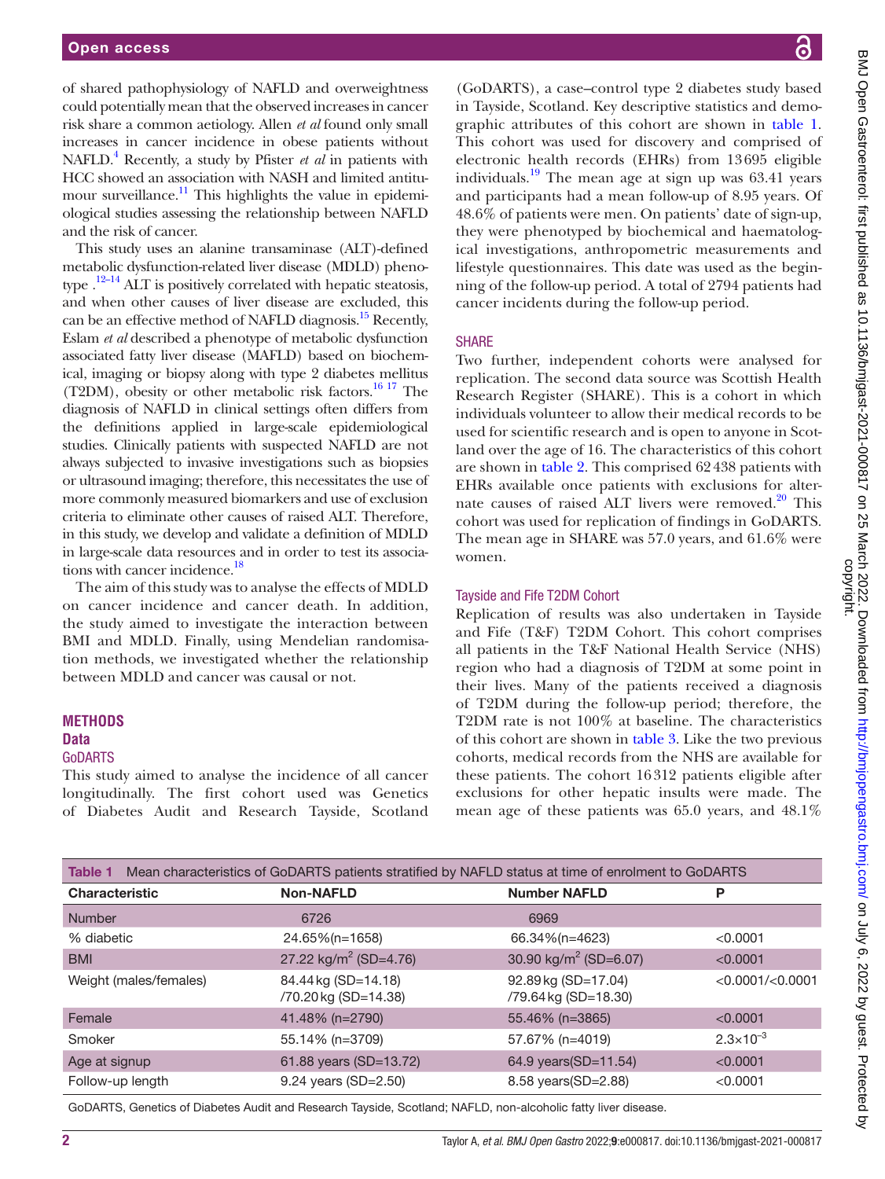of shared pathophysiology of NAFLD and overweightness could potentially mean that the observed increases in cancer risk share a common aetiology. Allen *et al* found only small increases in cancer incidence in obese patients without NAFLD.<sup>4</sup> Recently, a study by Pfister *et al* in patients with HCC showed an association with NASH and limited antitumour surveillance.<sup>11</sup> This highlights the value in epidemiological studies assessing the relationship between NAFLD and the risk of cancer.

This study uses an alanine transaminase (ALT)-defined metabolic dysfunction-related liver disease (MDLD) phenotype  $.12-14$  ALT is positively correlated with hepatic steatosis, and when other causes of liver disease are excluded, this can be an effective method of NAFLD diagnosis.<sup>15</sup> Recently, Eslam *et al* described a phenotype of metabolic dysfunction associated fatty liver disease (MAFLD) based on biochemical, imaging or biopsy along with type 2 diabetes mellitus (T2DM), obesity or other metabolic risk factors.<sup>16 17</sup> The diagnosis of NAFLD in clinical settings often differs from the definitions applied in large-scale epidemiological studies. Clinically patients with suspected NAFLD are not always subjected to invasive investigations such as biopsies or ultrasound imaging; therefore, this necessitates the use of more commonly measured biomarkers and use of exclusion criteria to eliminate other causes of raised ALT. Therefore, in this study, we develop and validate a definition of MDLD in large-scale data resources and in order to test its associations with cancer incidence.<sup>18</sup>

The aim of this study was to analyse the effects of MDLD on cancer incidence and cancer death. In addition, the study aimed to investigate the interaction between BMI and MDLD. Finally, using Mendelian randomisation methods, we investigated whether the relationship between MDLD and cancer was causal or not.

of Diabetes Audit and Research Tayside, Scotland

## **METHODS**

#### **Data** GoDARTS

This study aimed to analyse the incidence of all cancer longitudinally. The first cohort used was Genetics BMJ Open Gastroenterol: first published as 10.1136/bmigast-2021-000817 on 25 March 2022. Downloaded from http://bmjopengastro.bmj.com/ on July 6, 2022 by guest. Protected by<br>copyright. BMJ Open Gastroenterol: first published as 10.1136/bmjgast-2021-000817 on 25 March 2022. Downloaded from <http://bmjopengastro.bmj.com/> on July 6, 2022 by guest. Protected by

(GoDARTS), a case–control type 2 diabetes study based in Tayside, Scotland. Key descriptive statistics and demographic attributes of this cohort are shown in [table](#page-1-0) 1. This cohort was used for discovery and comprised of electronic health records (EHRs) from 13695 eligible individuals.<sup>19</sup> The mean age at sign up was  $63.41$  years and participants had a mean follow-up of 8.95 years. Of 48.6% of patients were men. On patients' date of sign-up, they were phenotyped by biochemical and haematological investigations, anthropometric measurements and lifestyle questionnaires. This date was used as the beginning of the follow-up period. A total of 2794 patients had cancer incidents during the follow-up period.

## **SHARE**

Two further, independent cohorts were analysed for replication. The second data source was Scottish Health Research Register (SHARE). This is a cohort in which individuals volunteer to allow their medical records to be used for scientific research and is open to anyone in Scotland over the age of 16. The characteristics of this cohort are shown in [table](#page-2-0) 2. This comprised 62438 patients with EHRs available once patients with exclusions for alternate causes of raised ALT livers were removed.<sup>20</sup> This cohort was used for replication of findings in GoDARTS. The mean age in SHARE was 57.0 years, and 61.6% were women.

## Tayside and Fife T2DM Cohort

Replication of results was also undertaken in Tayside and Fife (T&F) T2DM Cohort. This cohort comprises all patients in the T&F National Health Service (NHS) region who had a diagnosis of T2DM at some point in their lives. Many of the patients received a diagnosis of T2DM during the follow-up period; therefore, the T2DM rate is not 100% at baseline. The characteristics of this cohort are shown in [table](#page-2-1) 3. Like the two previous cohorts, medical records from the NHS are available for these patients. The cohort 16312 patients eligible after exclusions for other hepatic insults were made. The mean age of these patients was 65.0 years, and 48.1%

<span id="page-1-0"></span>

| Mean characteristics of GoDARTS patients stratified by NAFLD status at time of enrolment to GoDARTS<br>Table 1 |                                            |                                             |                        |  |
|----------------------------------------------------------------------------------------------------------------|--------------------------------------------|---------------------------------------------|------------------------|--|
| <b>Characteristic</b>                                                                                          | <b>Non-NAFLD</b>                           | <b>Number NAFLD</b>                         | P                      |  |
| <b>Number</b>                                                                                                  | 6726                                       | 6969                                        |                        |  |
| % diabetic                                                                                                     | 24.65%(n=1658)                             | 66.34%(n=4623)                              | < 0.0001               |  |
| <b>BMI</b>                                                                                                     | 27.22 kg/m <sup>2</sup> (SD=4.76)          | 30.90 kg/m <sup>2</sup> (SD=6.07)           | < 0.0001               |  |
| Weight (males/females)                                                                                         | 84.44 kg (SD=14.18)<br>/70.20kg (SD=14.38) | 92.89 kg (SD=17.04)<br>/79.64 kg (SD=18.30) | $<$ 0.0001/ $<$ 0.0001 |  |
| Female                                                                                                         | 41.48% (n=2790)                            | 55.46% (n=3865)                             | < 0.0001               |  |
| Smoker                                                                                                         | 55.14% (n=3709)                            | 57.67% (n=4019)                             | $2.3 \times 10^{-3}$   |  |
| Age at signup                                                                                                  | 61.88 years (SD=13.72)                     | 64.9 years(SD=11.54)                        | < 0.0001               |  |
| Follow-up length                                                                                               | 9.24 years (SD=2.50)                       | 8.58 years (SD=2.88)                        | < 0.0001               |  |

GoDARTS, Genetics of Diabetes Audit and Research Tayside, Scotland; NAFLD, non-alcoholic fatty liver disease.

2 Taylor A, *et al*. *BMJ Open Gastro* 2022;9:e000817. doi:10.1136/bmjgast-2021-000817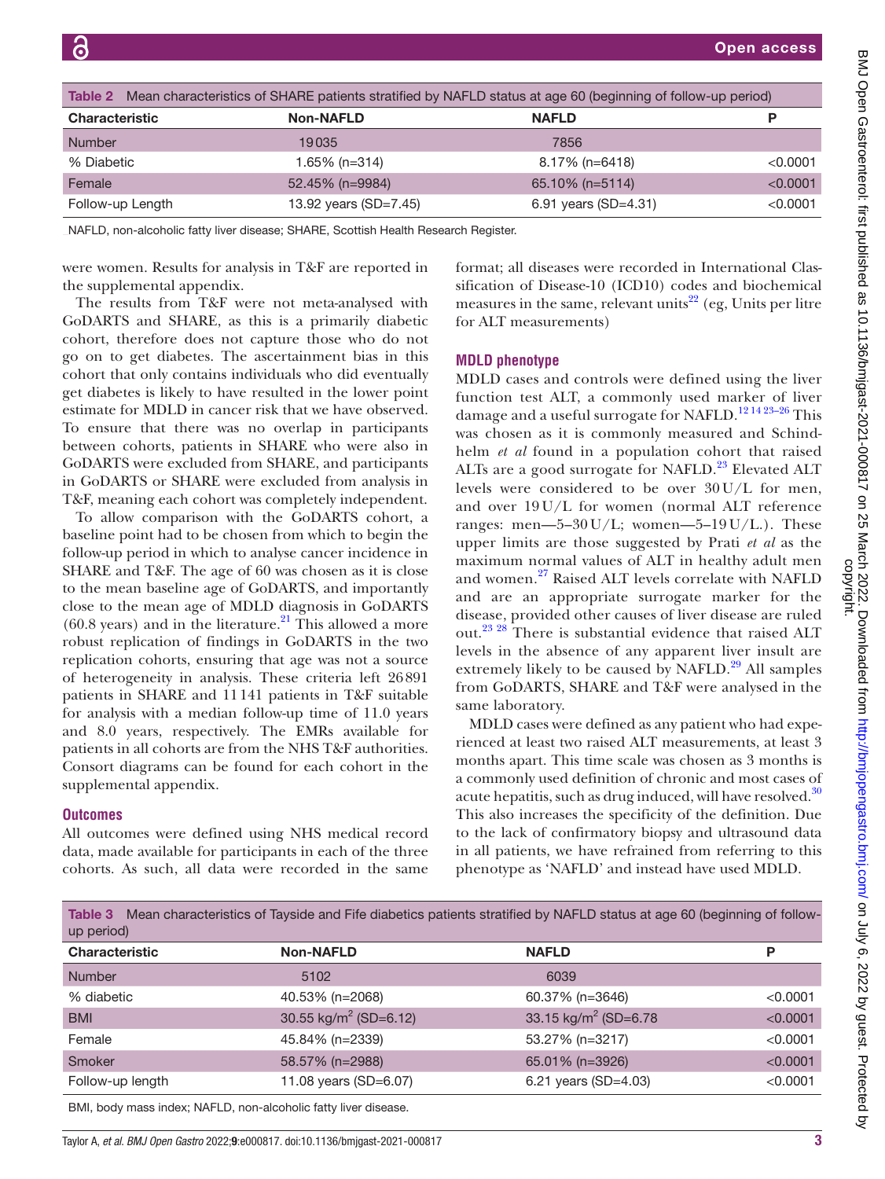<span id="page-2-0"></span>

| Table 2 Mean characteristics of SHARE patients stratified by NAFLD status at age 60 (beginning of follow-up period) |                  |                       |                      |          |
|---------------------------------------------------------------------------------------------------------------------|------------------|-----------------------|----------------------|----------|
| <b>Characteristic</b>                                                                                               |                  | <b>Non-NAFLD</b>      | <b>NAFLD</b>         | P        |
| <b>Number</b>                                                                                                       |                  | 19035                 | 7856                 |          |
| % Diabetic                                                                                                          |                  | 1.65% (n=314)         | $8.17\%$ (n=6418)    | < 0.0001 |
| Female                                                                                                              |                  | 52.45% (n=9984)       | 65.10% (n=5114)      | < 0.0001 |
|                                                                                                                     | Follow-up Length | 13.92 years (SD=7.45) | 6.91 years (SD=4.31) | < 0.0001 |

NAFLD, non-alcoholic fatty liver disease; SHARE, Scottish Health Research Register.

were women. Results for analysis in T&F are reported in the [supplemental appendix.](https://dx.doi.org/10.1136/bmjgast-2021-000817)

The results from T&F were not meta-analysed with GoDARTS and SHARE, as this is a primarily diabetic cohort, therefore does not capture those who do not go on to get diabetes. The ascertainment bias in this cohort that only contains individuals who did eventually get diabetes is likely to have resulted in the lower point estimate for MDLD in cancer risk that we have observed. To ensure that there was no overlap in participants between cohorts, patients in SHARE who were also in GoDARTS were excluded from SHARE, and participants in GoDARTS or SHARE were excluded from analysis in T&F, meaning each cohort was completely independent.

To allow comparison with the GoDARTS cohort, a baseline point had to be chosen from which to begin the follow-up period in which to analyse cancer incidence in SHARE and T&F. The age of 60 was chosen as it is close to the mean baseline age of GoDARTS, and importantly close to the mean age of MDLD diagnosis in GoDARTS  $(60.8 \text{ years})$  and in the literature.<sup>21</sup> This allowed a more robust replication of findings in GoDARTS in the two replication cohorts, ensuring that age was not a source of heterogeneity in analysis. These criteria left 26891 patients in SHARE and 11141 patients in T&F suitable for analysis with a median follow-up time of 11.0 years and 8.0 years, respectively. The EMRs available for patients in all cohorts are from the NHS T&F authorities. Consort diagrams can be found for each cohort in the [supplemental appendix](https://dx.doi.org/10.1136/bmjgast-2021-000817).

#### **Outcomes**

All outcomes were defined using NHS medical record data, made available for participants in each of the three cohorts. As such, all data were recorded in the same

format; all diseases were recorded in International Classification of Disease-10 (ICD10) codes and biochemical measures in the same, relevant units<sup>[22](#page-9-4)</sup> (eg, Units per litre for ALT measurements)

#### **MDLD phenotype**

MDLD cases and controls were defined using the liver function test ALT, a commonly used marker of liver damage and a useful surrogate for NAFLD.<sup>12 14 23-26</sup> This was chosen as it is commonly measured and Schindhelm *et al* found in a population cohort that raised ALTs are a good surrogate for NAFLD.<sup>23</sup> Elevated ALT levels were considered to be over 30U/L for men, and over 19 U/L for women (normal ALT reference ranges: men—5–30 U/L; women—5–19 U/L.). These upper limits are those suggested by Prati *et al* as the maximum normal values of ALT in healthy adult men and women.<sup>[27](#page-9-6)</sup> Raised ALT levels correlate with NAFLD and are an appropriate surrogate marker for the disease, provided other causes of liver disease are ruled out.<sup>[23 28](#page-9-5)</sup> There is substantial evidence that raised ALT levels in the absence of any apparent liver insult are extremely likely to be caused by NAFLD.<sup>29</sup> All samples from GoDARTS, SHARE and T&F were analysed in the same laboratory.

MDLD cases were defined as any patient who had experienced at least two raised ALT measurements, at least 3 months apart. This time scale was chosen as 3 months is a commonly used definition of chronic and most cases of acute hepatitis, such as drug induced, will have resolved.<sup>[30](#page-9-8)</sup> This also increases the specificity of the definition. Due to the lack of confirmatory biopsy and ultrasound data in all patients, we have refrained from referring to this phenotype as 'NAFLD' and instead have used MDLD.

<span id="page-2-1"></span>

|            | Table 3 Mean characteristics of Tayside and Fife diabetics patients stratified by NAFLD status at age 60 (beginning of follow- |  |  |  |
|------------|--------------------------------------------------------------------------------------------------------------------------------|--|--|--|
| up period) |                                                                                                                                |  |  |  |

| <b>Characteristic</b> | <b>Non-NAFLD</b>                  | <b>NAFLD</b>                      | P        |
|-----------------------|-----------------------------------|-----------------------------------|----------|
| <b>Number</b>         | 5102                              | 6039                              |          |
| % diabetic            | 40.53% (n=2068)                   | 60.37% (n=3646)                   | < 0.0001 |
| <b>BMI</b>            | 30.55 kg/m <sup>2</sup> (SD=6.12) | 33.15 kg/m <sup>2</sup> (SD=6.78) | < 0.0001 |
| Female                | 45.84% (n=2339)                   | 53.27% (n=3217)                   | < 0.0001 |
| Smoker                | 58.57% (n=2988)                   | 65.01% (n=3926)                   | < 0.0001 |
| Follow-up length      | 11.08 years (SD=6.07)             | 6.21 years $(SD=4.03)$            | < 0.0001 |
|                       |                                   |                                   |          |

BMI, body mass index; NAFLD, non-alcoholic fatty liver disease.

Taylor A, *et al*. *BMJ Open Gastro* 2022;9:e000817. doi:10.1136/bmjgast-2021-000817 3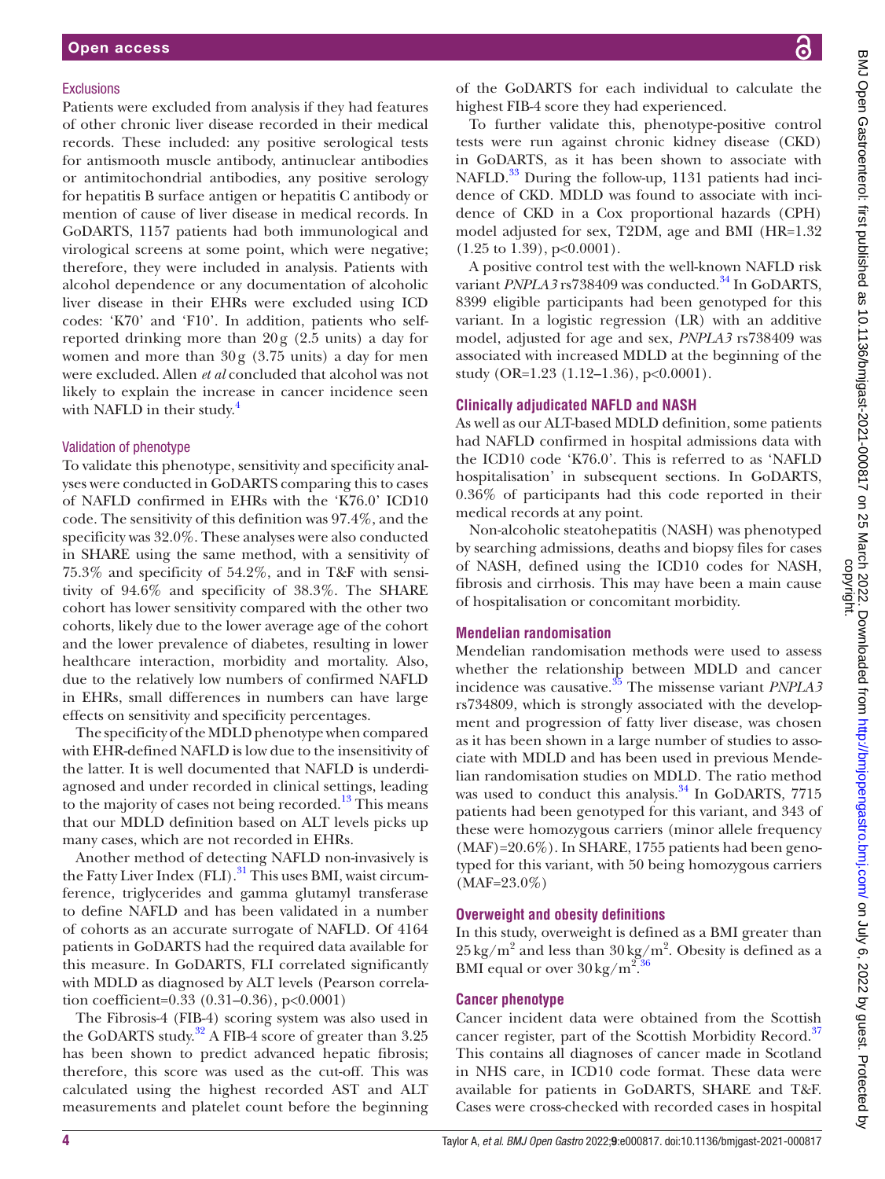#### **Exclusions**

Patients were excluded from analysis if they had features of other chronic liver disease recorded in their medical records. These included: any positive serological tests for antismooth muscle antibody, antinuclear antibodies or antimitochondrial antibodies, any positive serology for hepatitis B surface antigen or hepatitis C antibody or mention of cause of liver disease in medical records. In GoDARTS, 1157 patients had both immunological and virological screens at some point, which were negative; therefore, they were included in analysis. Patients with alcohol dependence or any documentation of alcoholic liver disease in their EHRs were excluded using ICD codes: 'K70' and 'F10'. In addition, patients who selfreported drinking more than 20g (2.5 units) a day for women and more than 30g (3.75 units) a day for men were excluded. Allen *et al* concluded that alcohol was not likely to explain the increase in cancer incidence seen with NAFLD in their study.<sup>4</sup>

#### Validation of phenotype

To validate this phenotype, sensitivity and specificity analyses were conducted in GoDARTS comparing this to cases of NAFLD confirmed in EHRs with the 'K76.0' ICD10 code. The sensitivity of this definition was 97.4%, and the specificity was 32.0%. These analyses were also conducted in SHARE using the same method, with a sensitivity of 75.3% and specificity of 54.2%, and in T&F with sensitivity of 94.6% and specificity of 38.3%. The SHARE cohort has lower sensitivity compared with the other two cohorts, likely due to the lower average age of the cohort and the lower prevalence of diabetes, resulting in lower healthcare interaction, morbidity and mortality. Also, due to the relatively low numbers of confirmed NAFLD in EHRs, small differences in numbers can have large effects on sensitivity and specificity percentages.

The specificity of the MDLD phenotype when compared with EHR-defined NAFLD is low due to the insensitivity of the latter. It is well documented that NAFLD is underdiagnosed and under recorded in clinical settings, leading to the majority of cases not being recorded.<sup>13</sup> This means that our MDLD definition based on ALT levels picks up many cases, which are not recorded in EHRs.

Another method of detecting NAFLD non-invasively is the Fatty Liver Index (FLI).<sup>31</sup> This uses BMI, waist circumference, triglycerides and gamma glutamyl transferase to define NAFLD and has been validated in a number of cohorts as an accurate surrogate of NAFLD. Of 4164 patients in GoDARTS had the required data available for this measure. In GoDARTS, FLI correlated significantly with MDLD as diagnosed by ALT levels (Pearson correlation coefficient=0.33 (0.31–0.36), p<0.0001)

The Fibrosis-4 (FIB-4) scoring system was also used in the GoDARTS study.<sup>32</sup> A FIB-4 score of greater than 3.25 has been shown to predict advanced hepatic fibrosis; therefore, this score was used as the cut-off. This was calculated using the highest recorded AST and ALT measurements and platelet count before the beginning

of the GoDARTS for each individual to calculate the highest FIB-4 score they had experienced.

To further validate this, phenotype-positive control tests were run against chronic kidney disease (CKD) in GoDARTS, as it has been shown to associate with NAFLD.<sup>33</sup> During the follow-up, 1131 patients had incidence of CKD. MDLD was found to associate with incidence of CKD in a Cox proportional hazards (CPH) model adjusted for sex, T2DM, age and BMI (HR=1.32  $(1.25 \text{ to } 1.39), \text{p} < 0.0001).$ 

A positive control test with the well-known NAFLD risk variant *PNPLA3* rs738409 was conducted.<sup>34</sup> In GoDARTS, 8399 eligible participants had been genotyped for this variant. In a logistic regression (LR) with an additive model, adjusted for age and sex, *PNPLA3* rs738409 was associated with increased MDLD at the beginning of the study (OR=1.23 (1.12–1.36), p<0.0001).

#### **Clinically adjudicated NAFLD and NASH**

As well as our ALT-based MDLD definition, some patients had NAFLD confirmed in hospital admissions data with the ICD10 code 'K76.0'. This is referred to as 'NAFLD hospitalisation' in subsequent sections. In GoDARTS, 0.36% of participants had this code reported in their medical records at any point.

Non-alcoholic steatohepatitis (NASH) was phenotyped by searching admissions, deaths and biopsy files for cases of NASH, defined using the ICD10 codes for NASH, fibrosis and cirrhosis. This may have been a main cause of hospitalisation or concomitant morbidity.

#### **Mendelian randomisation**

Mendelian randomisation methods were used to assess whether the relationship between MDLD and cancer incidence was causative.<sup>35</sup> The missense variant *PNPLA3* rs734809, which is strongly associated with the development and progression of fatty liver disease, was chosen as it has been shown in a large number of studies to associate with MDLD and has been used in previous Mendelian randomisation studies on MDLD. The ratio method was used to conduct this analysis.<sup>34</sup> In GoDARTS, 7715 patients had been genotyped for this variant, and 343 of these were homozygous carriers (minor allele frequency (MAF)=20.6%). In SHARE, 1755 patients had been genotyped for this variant, with 50 being homozygous carriers (MAF=23.0%)

#### **Overweight and obesity definitions**

In this study, overweight is defined as a BMI greater than  $25 \text{ kg/m}^2$  and less than  $30 \text{ kg/m}^2$ . Obesity is defined as a BMI equal or over  $30 \text{ kg/m}^2$ .  $36$ 

## **Cancer phenotype**

Cancer incident data were obtained from the Scottish cancer register, part of the Scottish Morbidity Record.<sup>37</sup> This contains all diagnoses of cancer made in Scotland in NHS care, in ICD10 code format. These data were available for patients in GoDARTS, SHARE and T&F. Cases were cross-checked with recorded cases in hospital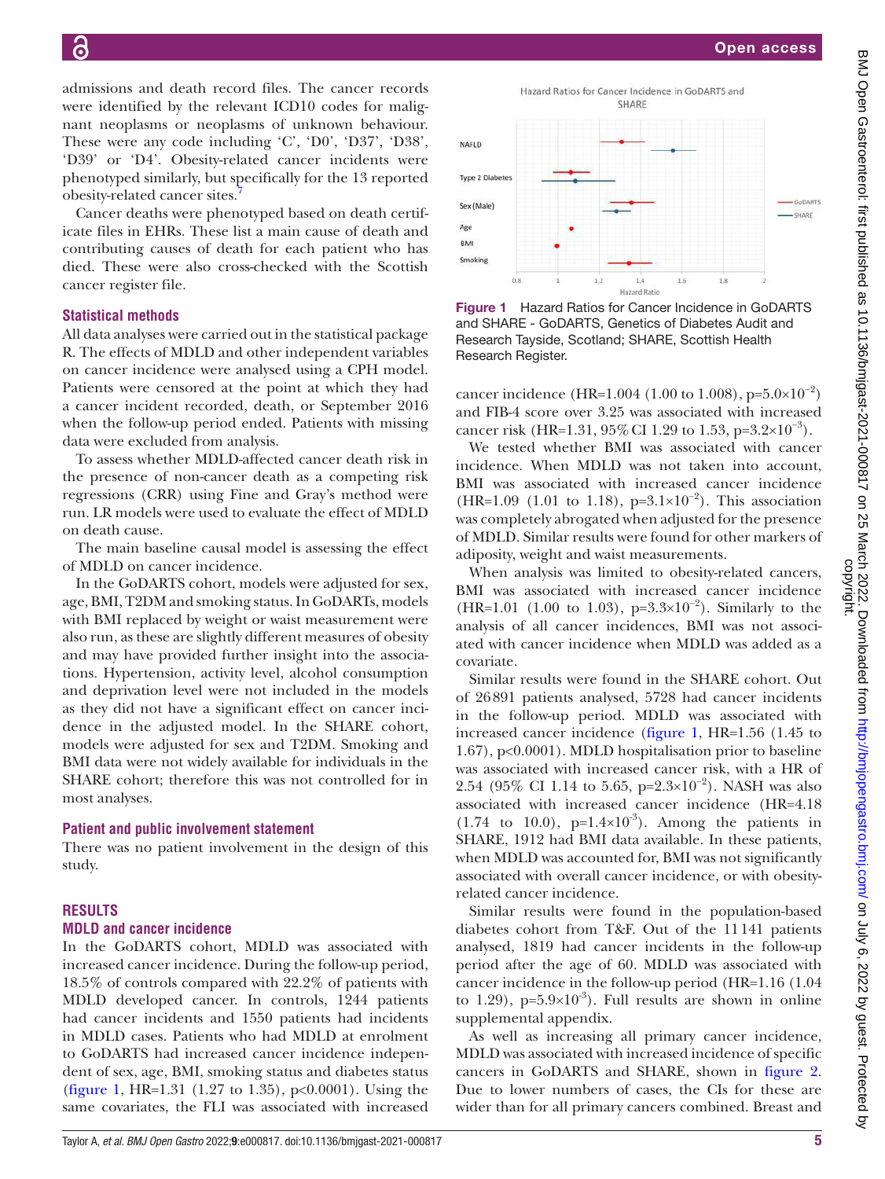admissions and death record files. The cancer records were identified by the relevant ICD10 codes for malignant neoplasms or neoplasms of unknown behaviour. These were any code including 'C', 'D0', 'D37', 'D38', 'D39' or 'D4'. Obesity-related cancer incidents were phenotyped similarly, but specifically for the 13 reported obesity-related cancer sites.[7](#page-8-4)

Cancer deaths were phenotyped based on death certificate files in EHRs. These list a main cause of death and contributing causes of death for each patient who has died. These were also cross-checked with the Scottish cancer register file.

## **Statistical methods**

All data analyses were carried out in the statistical package R. The effects of MDLD and other independent variables on cancer incidence were analysed using a CPH model. Patients were censored at the point at which they had a cancer incident recorded, death, or September 2016 when the follow-up period ended. Patients with missing data were excluded from analysis.

To assess whether MDLD-affected cancer death risk in the presence of non-cancer death as a competing risk regressions (CRR) using Fine and Gray's method were run. LR models were used to evaluate the effect of MDLD on death cause.

The main baseline causal model is assessing the effect of MDLD on cancer incidence.

In the GoDARTS cohort, models were adjusted for sex, age, BMI, T2DM and smoking status. In GoDARTs, models with BMI replaced by weight or waist measurement were also run, as these are slightly different measures of obesity and may have provided further insight into the associations. Hypertension, activity level, alcohol consumption and deprivation level were not included in the models as they did not have a significant effect on cancer incidence in the adjusted model. In the SHARE cohort, models were adjusted for sex and T2DM. Smoking and BMI data were not widely available for individuals in the SHARE cohort; therefore this was not controlled for in most analyses.

## **Patient and public involvement statement**

There was no patient involvement in the design of this study.

## **RESULTS**

## **MDLD and cancer incidence**

In the GoDARTS cohort, MDLD was associated with increased cancer incidence. During the follow-up period, 18.5% of controls compared with 22.2% of patients with MDLD developed cancer. In controls, 1244 patients had cancer incidents and 1550 patients had incidents in MDLD cases. Patients who had MDLD at enrolment to GoDARTS had increased cancer incidence independent of sex, age, BMI, smoking status and diabetes status [\(figure](#page-4-0) 1, HR=1.31 (1.27 to 1.35), p<0.0001). Using the same covariates, the FLI was associated with increased



<span id="page-4-0"></span>Figure 1 Hazard Ratios for Cancer Incidence in GoDARTS and SHARE - GoDARTS, Genetics of Diabetes Audit and Research Tayside, Scotland; SHARE, Scottish Health Research Register.

cancer incidence (HR=1.004 (1.00 to 1.008), p= $5.0\times10^{-2}$ ) and FIB-4 score over 3.25 was associated with increased cancer risk (HR=1.31, 95% CI 1.29 to 1.53, p=3.2×10<sup>-3</sup>).

We tested whether BMI was associated with cancer incidence. When MDLD was not taken into account, BMI was associated with increased cancer incidence (HR=1.09 (1.01 to 1.18), p=3.1×10<sup>-2</sup>). This association was completely abrogated when adjusted for the presence of MDLD. Similar results were found for other markers of adiposity, weight and waist measurements.

When analysis was limited to obesity-related cancers, BMI was associated with increased cancer incidence (HR=1.01 (1.00 to 1.03), p=3.3×10<sup>-2</sup>). Similarly to the analysis of all cancer incidences, BMI was not associated with cancer incidence when MDLD was added as a covariate.

Similar results were found in the SHARE cohort. Out of 26891 patients analysed, 5728 had cancer incidents in the follow-up period. MDLD was associated with increased cancer incidence [\(figure](#page-4-0) 1, HR=1.56 (1.45 to 1.67), p<0.0001). MDLD hospitalisation prior to baseline was associated with increased cancer risk, with a HR of 2.54 (95% CI 1.14 to 5.65, p=2.3×10<sup>-2</sup>). NASH was also associated with increased cancer incidence (HR=4.18  $(1.74 \text{ to } 10.0)$ , p= $1.4 \times 10^{-3}$ ). Among the patients in SHARE, 1912 had BMI data available. In these patients, when MDLD was accounted for, BMI was not significantly associated with overall cancer incidence, or with obesityrelated cancer incidence.

Similar results were found in the population-based diabetes cohort from T&F. Out of the 11141 patients analysed, 1819 had cancer incidents in the follow-up period after the age of 60. MDLD was associated with cancer incidence in the follow-up period (HR=1.16 (1.04 to 1.29),  $p=5.9\times10^{-3}$ . Full results are shown in [online](https://dx.doi.org/10.1136/bmjgast-2021-000817) [supplemental appendix.](https://dx.doi.org/10.1136/bmjgast-2021-000817)

As well as increasing all primary cancer incidence, MDLD was associated with increased incidence of specific cancers in GoDARTS and SHARE, shown in [figure](#page-5-0) 2. Due to lower numbers of cases, the CIs for these are wider than for all primary cancers combined. Breast and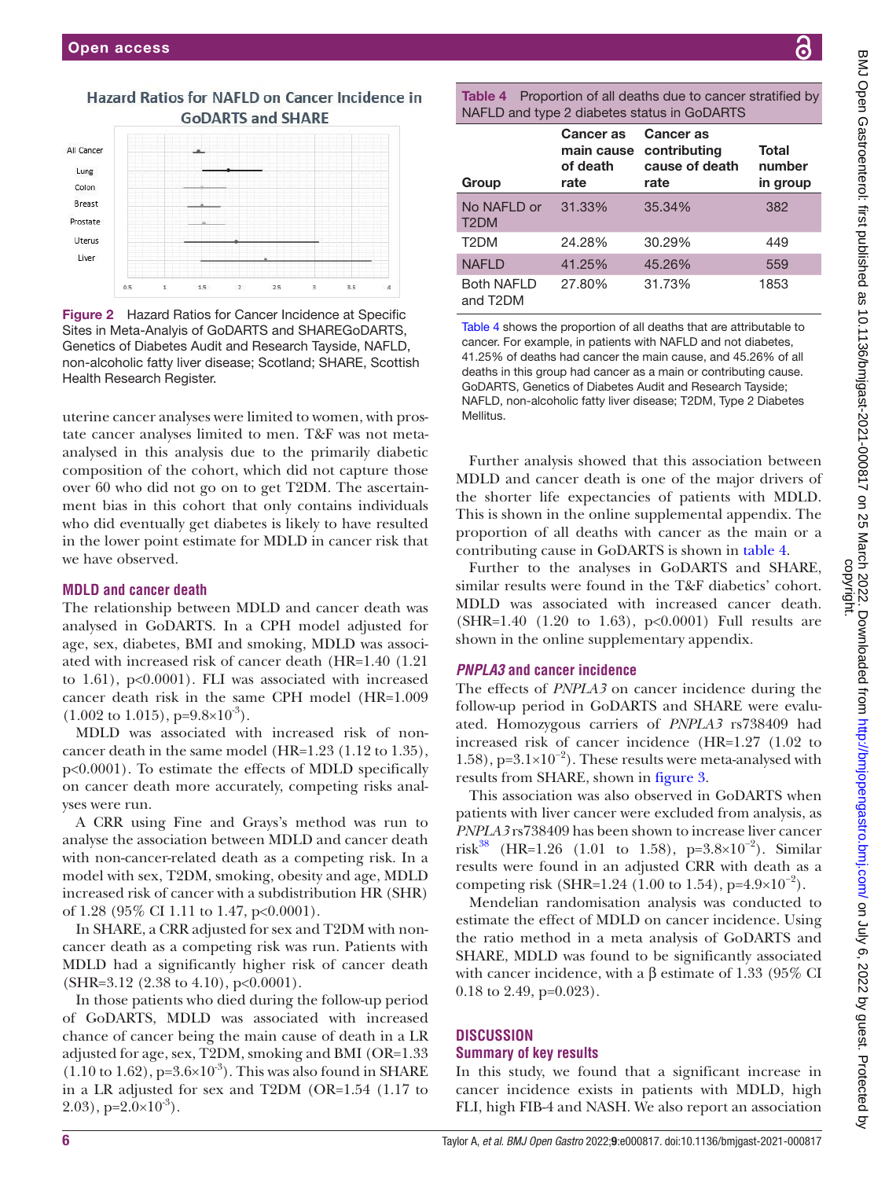# Hazard Ratios for NAFLD on Cancer Incidence in **GoDARTS and SHARE**



<span id="page-5-0"></span>Figure 2 Hazard Ratios for Cancer Incidence at Specific Sites in Meta-Analyis of GoDARTS and SHAREGoDARTS, Genetics of Diabetes Audit and Research Tayside, NAFLD, non-alcoholic fatty liver disease; Scotland; SHARE, Scottish Health Research Register.

uterine cancer analyses were limited to women, with prostate cancer analyses limited to men. T&F was not metaanalysed in this analysis due to the primarily diabetic composition of the cohort, which did not capture those over 60 who did not go on to get T2DM. The ascertainment bias in this cohort that only contains individuals who did eventually get diabetes is likely to have resulted in the lower point estimate for MDLD in cancer risk that we have observed.

## **MDLD and cancer death**

The relationship between MDLD and cancer death was analysed in GoDARTS. In a CPH model adjusted for age, sex, diabetes, BMI and smoking, MDLD was associated with increased risk of cancer death (HR=1.40 (1.21 to  $1.61$ ),  $p<0.0001$ ). FLI was associated with increased cancer death risk in the same CPH model (HR=1.009  $(1.002 \text{ to } 1.015), p=9.8\times10^{-3}).$ 

MDLD was associated with increased risk of noncancer death in the same model (HR=1.23 (1.12 to 1.35), p<0.0001). To estimate the effects of MDLD specifically on cancer death more accurately, competing risks analyses were run.

A CRR using Fine and Grays's method was run to analyse the association between MDLD and cancer death with non-cancer-related death as a competing risk. In a model with sex, T2DM, smoking, obesity and age, MDLD increased risk of cancer with a subdistribution HR (SHR) of 1.28 (95% CI 1.11 to 1.47, p<0.0001).

In SHARE, a CRR adjusted for sex and T2DM with noncancer death as a competing risk was run. Patients with MDLD had a significantly higher risk of cancer death  $(SHR=3.12 (2.38 to 4.10), p<0.0001).$ 

In those patients who died during the follow-up period of GoDARTS, MDLD was associated with increased chance of cancer being the main cause of death in a LR adjusted for age, sex, T2DM, smoking and BMI (OR=1.33  $(1.10 \text{ to } 1.62)$ , p= $3.6 \times 10^{-3}$ ). This was also found in SHARE in a LR adjusted for sex and T2DM (OR=1.54 (1.17 to  $(2.03)$ , p= $2.0\times10^{-3}$ ).

<span id="page-5-1"></span>Table 4 Proportion of all deaths due to cancer stratified by NAFLD and type 2 diabetes status in GoDARTS

| Group                            | <b>Cancer</b> as<br>main cause<br>of death<br>rate | Cancer as<br>contributing<br>cause of death<br>rate | Total<br>number<br>in group |
|----------------------------------|----------------------------------------------------|-----------------------------------------------------|-----------------------------|
| No NAFLD or<br>T <sub>2</sub> DM | 31.33%                                             | 35.34%                                              | 382                         |
| T <sub>2</sub> DM                | 24.28%                                             | 30.29%                                              | 449                         |
| <b>NAFLD</b>                     | 41.25%                                             | 45.26%                                              | 559                         |
| <b>Both NAFLD</b><br>and T2DM    | 27.80%                                             | 31.73%                                              | 1853                        |

[Table 4](#page-5-1) shows the proportion of all deaths that are attributable to cancer. For example, in patients with NAFLD and not diabetes, 41.25% of deaths had cancer the main cause, and 45.26% of all deaths in this group had cancer as a main or contributing cause. GoDARTS, Genetics of Diabetes Audit and Research Tayside; NAFLD, non-alcoholic fatty liver disease; T2DM, Type 2 Diabetes Mellitus.

Further analysis showed that this association between MDLD and cancer death is one of the major drivers of the shorter life expectancies of patients with MDLD. This is shown in the [online supplemental appendix](https://dx.doi.org/10.1136/bmjgast-2021-000817). The proportion of all deaths with cancer as the main or a contributing cause in GoDARTS is shown in [table](#page-5-1) 4.

Further to the analyses in GoDARTS and SHARE, similar results were found in the T&F diabetics' cohort. MDLD was associated with increased cancer death. (SHR=1.40 (1.20 to 1.63), p<0.0001) Full results are shown in the [online supplementary appendix.](https://dx.doi.org/10.1136/bmjgast-2021-000817)

## *PNPLA3* **and cancer incidence**

The effects of *PNPLA3* on cancer incidence during the follow-up period in GoDARTS and SHARE were evaluated. Homozygous carriers of *PNPLA3* rs738409 had increased risk of cancer incidence (HR=1.27 (1.02 to 1.58), p= $3.1\times10^{-2}$ ). These results were meta-analysed with results from SHARE, shown in [figure](#page-6-0) 3.

This association was also observed in GoDARTS when patients with liver cancer were excluded from analysis, as *PNPLA3* rs738409 has been shown to increase liver cancer risk<sup>[38](#page-9-16)</sup> (HR=1.26 (1.01 to 1.58), p=3.8×10<sup>-2</sup>). Similar results were found in an adjusted CRR with death as a competing risk (SHR=1.24 (1.00 to 1.54), p=4.9×10<sup>-2</sup>).

Mendelian randomisation analysis was conducted to estimate the effect of MDLD on cancer incidence. Using the ratio method in a meta analysis of GoDARTS and SHARE, MDLD was found to be significantly associated with cancer incidence, with a β estimate of 1.33 (95% CI 0.18 to 2.49, p=0.023).

## **DISCUSSION Summary of key results**

In this study, we found that a significant increase in cancer incidence exists in patients with MDLD, high FLI, high FIB-4 and NASH. We also report an association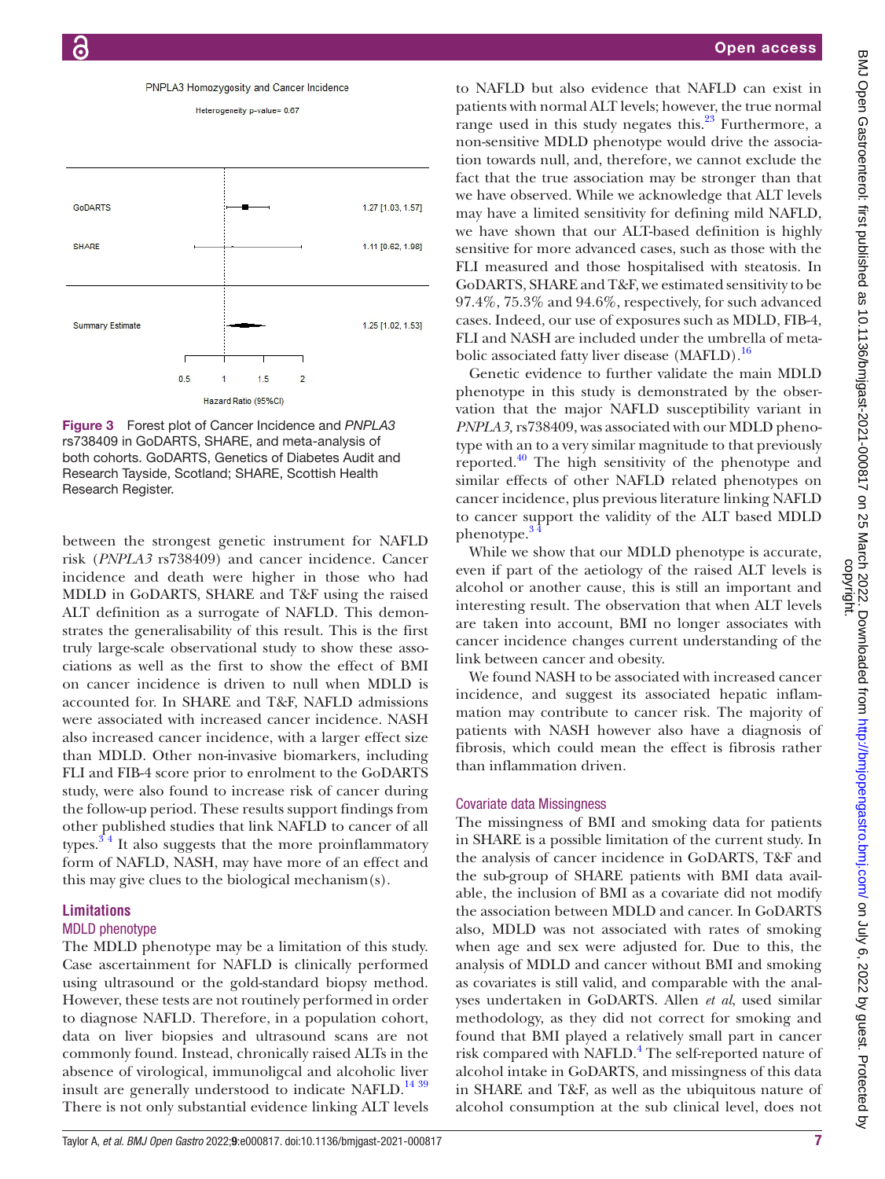

Heterogeneity p-value= 0.67



<span id="page-6-0"></span>Figure 3 Forest plot of Cancer Incidence and *PNPLA3* rs738409 in GoDARTS, SHARE, and meta-analysis of both cohorts. GoDARTS, Genetics of Diabetes Audit and Research Tayside, Scotland; SHARE, Scottish Health Research Register.

between the strongest genetic instrument for NAFLD risk (*PNPLA3* rs738409) and cancer incidence. Cancer incidence and death were higher in those who had MDLD in GoDARTS, SHARE and T&F using the raised ALT definition as a surrogate of NAFLD. This demonstrates the generalisability of this result. This is the first truly large-scale observational study to show these associations as well as the first to show the effect of BMI on cancer incidence is driven to null when MDLD is accounted for. In SHARE and T&F, NAFLD admissions were associated with increased cancer incidence. NASH also increased cancer incidence, with a larger effect size than MDLD. Other non-invasive biomarkers, including FLI and FIB-4 score prior to enrolment to the GoDARTS study, were also found to increase risk of cancer during the follow-up period. These results support findings from other published studies that link NAFLD to cancer of all types. $3<sup>4</sup>$  It also suggests that the more proinflammatory form of NAFLD, NASH, may have more of an effect and this may give clues to the biological mechanism(s).

## **Limitations**

## MDLD phenotype

The MDLD phenotype may be a limitation of this study. Case ascertainment for NAFLD is clinically performed using ultrasound or the gold-standard biopsy method. However, these tests are not routinely performed in order to diagnose NAFLD. Therefore, in a population cohort, data on liver biopsies and ultrasound scans are not commonly found. Instead, chronically raised ALTs in the absence of virological, immunoligcal and alcoholic liver insult are generally understood to indicate NAFLD.<sup>[14 39](#page-8-14)</sup> There is not only substantial evidence linking ALT levels

to NAFLD but also evidence that NAFLD can exist in patients with normal ALT levels; however, the true normal range used in this study negates this. $23$  Furthermore, a non-sensitive MDLD phenotype would drive the association towards null, and, therefore, we cannot exclude the fact that the true association may be stronger than that we have observed. While we acknowledge that ALT levels may have a limited sensitivity for defining mild NAFLD, we have shown that our ALT-based definition is highly sensitive for more advanced cases, such as those with the FLI measured and those hospitalised with steatosis. In GoDARTS, SHARE and T&F, we estimated sensitivity to be 97.4%, 75.3% and 94.6%, respectively, for such advanced cases. Indeed, our use of exposures such as MDLD, FIB-4, FLI and NASH are included under the umbrella of meta-bolic associated fatty liver disease (MAFLD).<sup>[16](#page-8-12)</sup>

Genetic evidence to further validate the main MDLD phenotype in this study is demonstrated by the observation that the major NAFLD susceptibility variant in *PNPLA3,* rs738409, was associated with our MDLD phenotype with an to a very similar magnitude to that previously reported. $^{40}$  The high sensitivity of the phenotype and similar effects of other NAFLD related phenotypes on cancer incidence, plus previous literature linking NAFLD to cancer support the validity of the ALT based MDLD phenotype.<sup>3</sup>

While we show that our MDLD phenotype is accurate, even if part of the aetiology of the raised ALT levels is alcohol or another cause, this is still an important and interesting result. The observation that when ALT levels are taken into account, BMI no longer associates with cancer incidence changes current understanding of the link between cancer and obesity.

We found NASH to be associated with increased cancer incidence, and suggest its associated hepatic inflammation may contribute to cancer risk. The majority of patients with NASH however also have a diagnosis of fibrosis, which could mean the effect is fibrosis rather than inflammation driven.

## Covariate data Missingness

The missingness of BMI and smoking data for patients in SHARE is a possible limitation of the current study. In the analysis of cancer incidence in GoDARTS, T&F and the sub-group of SHARE patients with BMI data available, the inclusion of BMI as a covariate did not modify the association between MDLD and cancer. In GoDARTS also, MDLD was not associated with rates of smoking when age and sex were adjusted for. Due to this, the analysis of MDLD and cancer without BMI and smoking as covariates is still valid, and comparable with the analyses undertaken in GoDARTS. Allen *et al*, used similar methodology, as they did not correct for smoking and found that BMI played a relatively small part in cancer risk compared with NAFLD.<sup>[4](#page-8-8)</sup> The self-reported nature of alcohol intake in GoDARTS, and missingness of this data in SHARE and T&F, as well as the ubiquitous nature of alcohol consumption at the sub clinical level, does not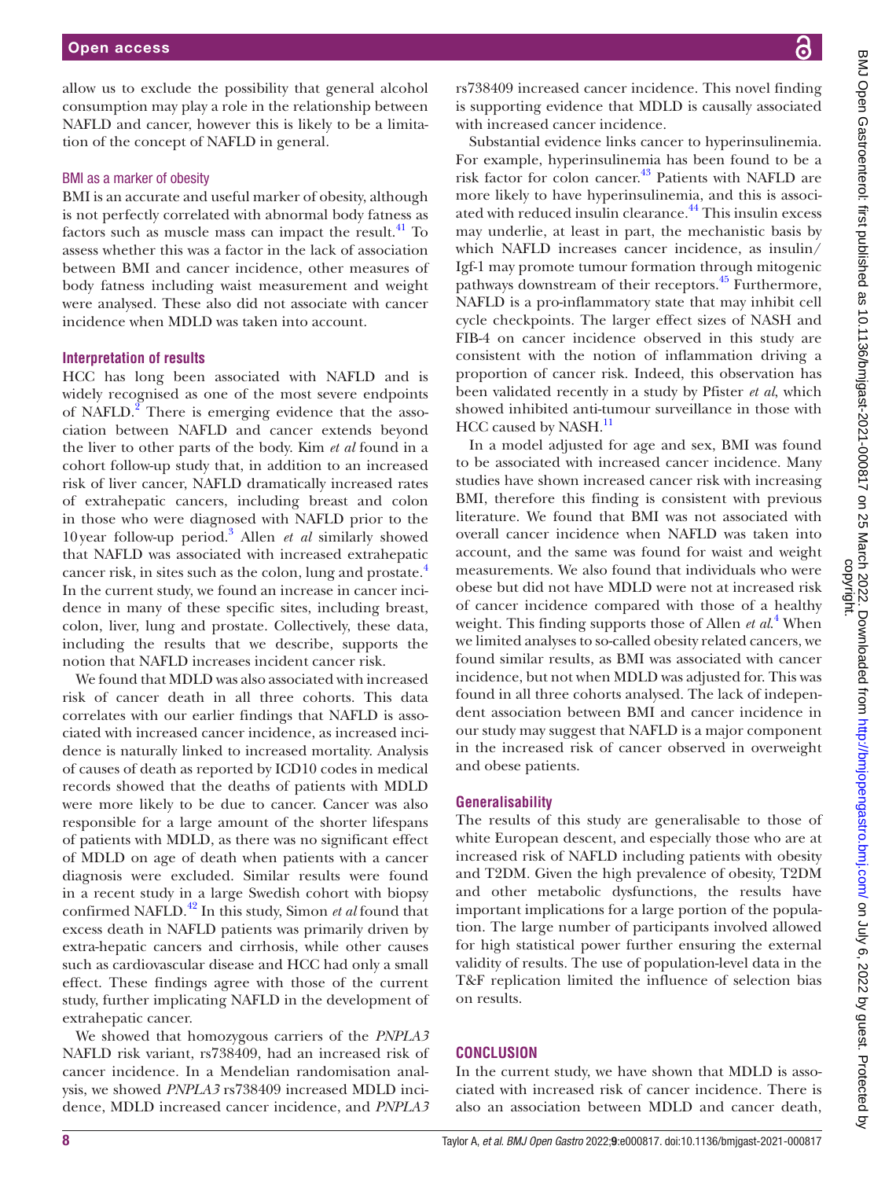allow us to exclude the possibility that general alcohol consumption may play a role in the relationship between NAFLD and cancer, however this is likely to be a limitation of the concept of NAFLD in general.

#### BMI as a marker of obesity

BMI is an accurate and useful marker of obesity, although is not perfectly correlated with abnormal body fatness as factors such as muscle mass can impact the result. $41$  To assess whether this was a factor in the lack of association between BMI and cancer incidence, other measures of body fatness including waist measurement and weight were analysed. These also did not associate with cancer incidence when MDLD was taken into account.

## **Interpretation of results**

HCC has long been associated with NAFLD and is widely recognised as one of the most severe endpoints of NAFLD. $^{2}$  $^{2}$  $^{2}$  There is emerging evidence that the association between NAFLD and cancer extends beyond the liver to other parts of the body. Kim *et al* found in a cohort follow-up study that, in addition to an increased risk of liver cancer, NAFLD dramatically increased rates of extrahepatic cancers, including breast and colon in those who were diagnosed with NAFLD prior to the 10year follow-up period.[3](#page-8-2) Allen *et al* similarly showed that NAFLD was associated with increased extrahepatic cancer risk, in sites such as the colon, lung and prostate.<sup>[4](#page-8-8)</sup> In the current study, we found an increase in cancer incidence in many of these specific sites, including breast, colon, liver, lung and prostate. Collectively, these data, including the results that we describe, supports the notion that NAFLD increases incident cancer risk.

We found that MDLD was also associated with increased risk of cancer death in all three cohorts. This data correlates with our earlier findings that NAFLD is associated with increased cancer incidence, as increased incidence is naturally linked to increased mortality. Analysis of causes of death as reported by ICD10 codes in medical records showed that the deaths of patients with MDLD were more likely to be due to cancer. Cancer was also responsible for a large amount of the shorter lifespans of patients with MDLD, as there was no significant effect of MDLD on age of death when patients with a cancer diagnosis were excluded. Similar results were found in a recent study in a large Swedish cohort with biopsy confirmed NAFLD.[42](#page-9-19) In this study, Simon *et al* found that excess death in NAFLD patients was primarily driven by extra-hepatic cancers and cirrhosis, while other causes such as cardiovascular disease and HCC had only a small effect. These findings agree with those of the current study, further implicating NAFLD in the development of extrahepatic cancer.

We showed that homozygous carriers of the *PNPLA3* NAFLD risk variant, rs738409, had an increased risk of cancer incidence. In a Mendelian randomisation analysis, we showed *PNPLA3* rs738409 increased MDLD incidence, MDLD increased cancer incidence, and *PNPLA3*

rs738409 increased cancer incidence. This novel finding is supporting evidence that MDLD is causally associated with increased cancer incidence.

Substantial evidence links cancer to hyperinsulinemia. For example, hyperinsulinemia has been found to be a risk factor for colon cancer[.43](#page-9-20) Patients with NAFLD are more likely to have hyperinsulinemia, and this is associ-ated with reduced insulin clearance.<sup>[44](#page-9-21)</sup> This insulin excess may underlie, at least in part, the mechanistic basis by which NAFLD increases cancer incidence, as insulin/ Igf-1 may promote tumour formation through mitogenic pathways downstream of their receptors.<sup>45</sup> Furthermore, NAFLD is a pro-inflammatory state that may inhibit cell cycle checkpoints. The larger effect sizes of NASH and FIB-4 on cancer incidence observed in this study are consistent with the notion of inflammation driving a proportion of cancer risk. Indeed, this observation has been validated recently in a study by Pfister *et al*, which showed inhibited anti-tumour surveillance in those with HCC caused by NASH.<sup>11</sup>

In a model adjusted for age and sex, BMI was found to be associated with increased cancer incidence. Many studies have shown increased cancer risk with increasing BMI, therefore this finding is consistent with previous literature. We found that BMI was not associated with overall cancer incidence when NAFLD was taken into account, and the same was found for waist and weight measurements. We also found that individuals who were obese but did not have MDLD were not at increased risk of cancer incidence compared with those of a healthy weight. This finding supports those of Allen *et al*. [4](#page-8-8) When we limited analyses to so-called obesity related cancers, we found similar results, as BMI was associated with cancer incidence, but not when MDLD was adjusted for. This was found in all three cohorts analysed. The lack of independent association between BMI and cancer incidence in our study may suggest that NAFLD is a major component in the increased risk of cancer observed in overweight and obese patients.

#### **Generalisability**

The results of this study are generalisable to those of white European descent, and especially those who are at increased risk of NAFLD including patients with obesity and T2DM. Given the high prevalence of obesity, T2DM and other metabolic dysfunctions, the results have important implications for a large portion of the population. The large number of participants involved allowed for high statistical power further ensuring the external validity of results. The use of population-level data in the T&F replication limited the influence of selection bias on results.

## **CONCLUSION**

In the current study, we have shown that MDLD is associated with increased risk of cancer incidence. There is also an association between MDLD and cancer death,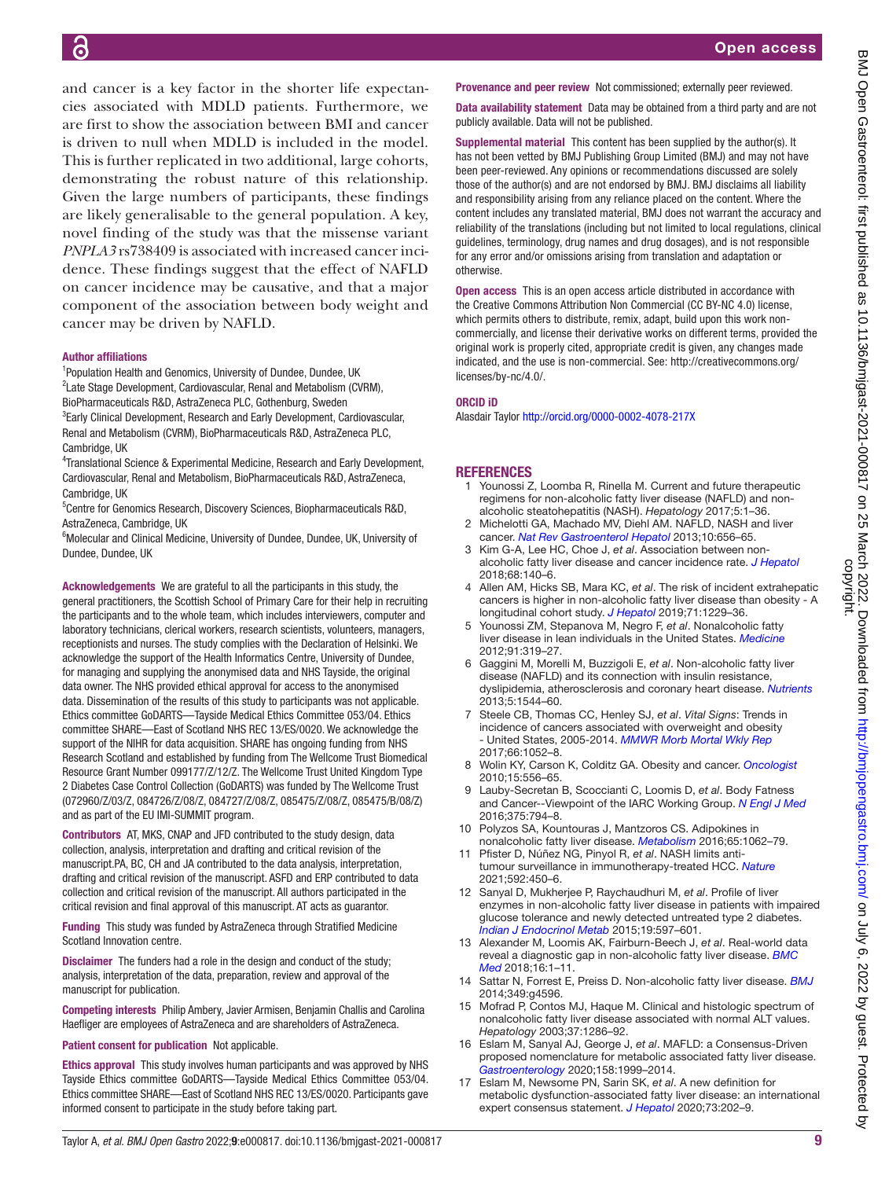and cancer is a key factor in the shorter life expectancies associated with MDLD patients. Furthermore, we are first to show the association between BMI and cancer is driven to null when MDLD is included in the model. This is further replicated in two additional, large cohorts, demonstrating the robust nature of this relationship. Given the large numbers of participants, these findings are likely generalisable to the general population. A key, novel finding of the study was that the missense variant *PNPLA3* rs738409 is associated with increased cancer incidence. These findings suggest that the effect of NAFLD on cancer incidence may be causative, and that a major component of the association between body weight and cancer may be driven by NAFLD.

#### Author affiliations

<sup>1</sup>Population Health and Genomics, University of Dundee, Dundee, UK <sup>2</sup> Late Stage Development, Cardiovascular, Renal and Metabolism (CVRM), BioPharmaceuticals R&D, AstraZeneca PLC, Gothenburg, Sweden <sup>3</sup>Early Clinical Development, Research and Early Development, Cardiovascular, Renal and Metabolism (CVRM), BioPharmaceuticals R&D, AstraZeneca PLC, Cambridge, UK

<sup>4</sup> Translational Science & Experimental Medicine, Research and Early Development, Cardiovascular, Renal and Metabolism, BioPharmaceuticals R&D, AstraZeneca, Cambridge, UK

5 Centre for Genomics Research, Discovery Sciences, Biopharmaceuticals R&D, AstraZeneca, Cambridge, UK

<sup>6</sup>Molecular and Clinical Medicine, University of Dundee, Dundee, UK, University of Dundee, Dundee, UK

Acknowledgements We are grateful to all the participants in this study, the general practitioners, the Scottish School of Primary Care for their help in recruiting the participants and to the whole team, which includes interviewers, computer and laboratory technicians, clerical workers, research scientists, volunteers, managers, receptionists and nurses. The study complies with the Declaration of Helsinki. We acknowledge the support of the Health Informatics Centre, University of Dundee, for managing and supplying the anonymised data and NHS Tayside, the original data owner. The NHS provided ethical approval for access to the anonymised data. Dissemination of the results of this study to participants was not applicable. Ethics committee GoDARTS—Tayside Medical Ethics Committee 053/04. Ethics committee SHARE—East of Scotland NHS REC 13/ES/0020. We acknowledge the support of the NIHR for data acquisition. SHARE has ongoing funding from NHS Research Scotland and established by funding from The Wellcome Trust Biomedical Resource Grant Number 099177/Z/12/Z. The Wellcome Trust United Kingdom Type 2 Diabetes Case Control Collection (GoDARTS) was funded by The Wellcome Trust (072960/Z/03/Z, 084726/Z/08/Z, 084727/Z/08/Z, 085475/Z/08/Z, 085475/B/08/Z) and as part of the EU IMI-SUMMIT program.

Contributors AT, MKS, CNAP and JFD contributed to the study design, data collection, analysis, interpretation and drafting and critical revision of the manuscript.PA, BC, CH and JA contributed to the data analysis, interpretation, drafting and critical revision of the manuscript. ASFD and ERP contributed to data collection and critical revision of the manuscript. All authors participated in the critical revision and final approval of this manuscript. AT acts as guarantor.

Funding This study was funded by AstraZeneca through Stratified Medicine Scotland Innovation centre.

Disclaimer The funders had a role in the design and conduct of the study; analysis, interpretation of the data, preparation, review and approval of the manuscript for publication.

Competing interests Philip Ambery, Javier Armisen, Benjamin Challis and Carolina Haefliger are employees of AstraZeneca and are shareholders of AstraZeneca.

Patient consent for publication Not applicable.

Ethics approval This study involves human participants and was approved by NHS Tayside Ethics committee GoDARTS—Tayside Medical Ethics Committee 053/04. Ethics committee SHARE—East of Scotland NHS REC 13/ES/0020. Participants gave informed consent to participate in the study before taking part.

Provenance and peer review Not commissioned; externally peer reviewed.

Data availability statement Data may be obtained from a third party and are not publicly available. Data will not be published.

Supplemental material This content has been supplied by the author(s). It has not been vetted by BMJ Publishing Group Limited (BMJ) and may not have been peer-reviewed. Any opinions or recommendations discussed are solely those of the author(s) and are not endorsed by BMJ. BMJ disclaims all liability and responsibility arising from any reliance placed on the content. Where the content includes any translated material, BMJ does not warrant the accuracy and reliability of the translations (including but not limited to local regulations, clinical guidelines, terminology, drug names and drug dosages), and is not responsible for any error and/or omissions arising from translation and adaptation or otherwise.

Open access This is an open access article distributed in accordance with the Creative Commons Attribution Non Commercial (CC BY-NC 4.0) license, which permits others to distribute, remix, adapt, build upon this work noncommercially, and license their derivative works on different terms, provided the original work is properly cited, appropriate credit is given, any changes made indicated, and the use is non-commercial. See: [http://creativecommons.org/](http://creativecommons.org/licenses/by-nc/4.0/) [licenses/by-nc/4.0/.](http://creativecommons.org/licenses/by-nc/4.0/)

#### ORCID iD

Alasdair Taylor <http://orcid.org/0000-0002-4078-217X>

#### **REFERENCES**

- <span id="page-8-0"></span>1 Younossi Z, Loomba R, Rinella M. Current and future therapeutic regimens for non-alcoholic fatty liver disease (NAFLD) and nonalcoholic steatohepatitis (NASH). *Hepatology* 2017;5:1–36.
- <span id="page-8-1"></span>2 Michelotti GA, Machado MV, Diehl AM. NAFLD, NASH and liver cancer. *[Nat Rev Gastroenterol Hepatol](http://dx.doi.org/10.1038/nrgastro.2013.183)* 2013;10:656–65.
- <span id="page-8-2"></span>3 Kim G-A, Lee HC, Choe J, *et al*. Association between nonalcoholic fatty liver disease and cancer incidence rate. *[J Hepatol](http://dx.doi.org/10.1016/j.jhep.2017.09.012)* 2018;68:140–6.
- <span id="page-8-8"></span>4 Allen AM, Hicks SB, Mara KC, *et al*. The risk of incident extrahepatic cancers is higher in non-alcoholic fatty liver disease than obesity - A longitudinal cohort study. *[J Hepatol](http://dx.doi.org/10.1016/j.jhep.2019.08.018)* 2019;71:1229–36.
- <span id="page-8-3"></span>5 Younossi ZM, Stepanova M, Negro F, *et al*. Nonalcoholic fatty liver disease in lean individuals in the United States. *[Medicine](http://dx.doi.org/10.1097/MD.0b013e3182779d49)* 2012;91:319–27.
- 6 Gaggini M, Morelli M, Buzzigoli E, *et al*. Non-alcoholic fatty liver disease (NAFLD) and its connection with insulin resistance, dyslipidemia, atherosclerosis and coronary heart disease. *[Nutrients](http://dx.doi.org/10.3390/nu5051544)* 2013;5:1544–60.
- <span id="page-8-4"></span>7 Steele CB, Thomas CC, Henley SJ, *et al*. *Vital Signs*: Trends in incidence of cancers associated with overweight and obesity - United States, 2005-2014. *[MMWR Morb Mortal Wkly Rep](http://dx.doi.org/10.15585/mmwr.mm6639e1)* 2017;66:1052–8.
- <span id="page-8-5"></span>8 Wolin KY, Carson K, Colditz GA. Obesity and cancer. *[Oncologist](http://dx.doi.org/10.1634/theoncologist.2009-0285)* 2010;15:556–65.
- <span id="page-8-6"></span>9 Lauby-Secretan B, Scoccianti C, Loomis D, *et al*. Body Fatness and Cancer--Viewpoint of the IARC Working Group. *[N Engl J Med](http://dx.doi.org/10.1056/NEJMsr1606602)* 2016;375:794–8.
- <span id="page-8-7"></span>10 Polyzos SA, Kountouras J, Mantzoros CS. Adipokines in nonalcoholic fatty liver disease. *[Metabolism](http://dx.doi.org/10.1016/j.metabol.2015.11.006)* 2016;65:1062–79.
- <span id="page-8-9"></span>11 Pfister D, Núñez NG, Pinyol R, *et al*. NASH limits antitumour surveillance in immunotherapy-treated HCC. *[Nature](http://dx.doi.org/10.1038/s41586-021-03362-0)* 2021;592:450–6.
- <span id="page-8-10"></span>12 Sanyal D, Mukherjee P, Raychaudhuri M, *et al*. Profile of liver enzymes in non-alcoholic fatty liver disease in patients with impaired glucose tolerance and newly detected untreated type 2 diabetes. *[Indian J Endocrinol Metab](http://dx.doi.org/10.4103/2230-8210.163172)* 2015;19:597–601.
- <span id="page-8-13"></span>13 Alexander M, Loomis AK, Fairburn-Beech J, *et al*. Real-world data reveal a diagnostic gap in non-alcoholic fatty liver disease. *[BMC](http://dx.doi.org/10.1186/s12916-018-1103-x)  [Med](http://dx.doi.org/10.1186/s12916-018-1103-x)* 2018;16:1–11.
- <span id="page-8-14"></span>14 Sattar N, Forrest E, Preiss D. Non-alcoholic fatty liver disease. *[BMJ](http://dx.doi.org/10.1136/bmj.g4596)* 2014;349:g4596.
- <span id="page-8-11"></span>15 Mofrad P, Contos MJ, Haque M. Clinical and histologic spectrum of nonalcoholic fatty liver disease associated with normal ALT values. *Hepatology* 2003;37:1286–92.
- <span id="page-8-12"></span>16 Eslam M, Sanyal AJ, George J, *et al*. MAFLD: a Consensus-Driven proposed nomenclature for metabolic associated fatty liver disease. *[Gastroenterology](http://dx.doi.org/10.1053/j.gastro.2019.11.312)* 2020;158:1999–2014.
- 17 Eslam M, Newsome PN, Sarin SK, *et al*. A new definition for metabolic dysfunction-associated fatty liver disease: an international expert consensus statement. *[J Hepatol](http://dx.doi.org/10.1016/j.jhep.2020.03.039)* 2020;73:202–9.

ζ